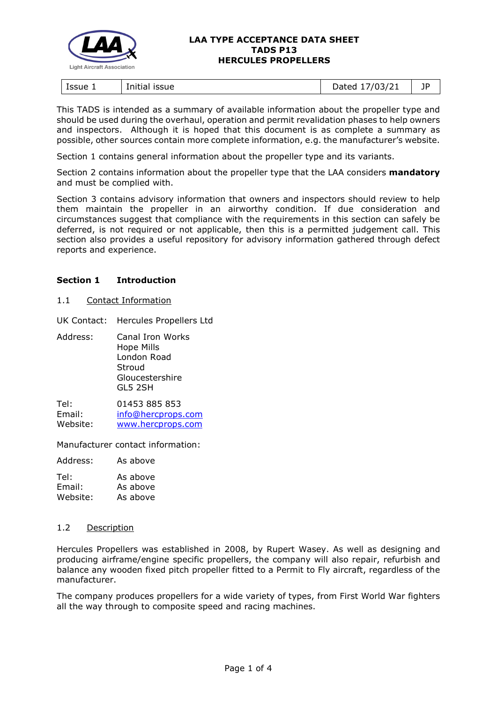

| Initial<br>Issue 1<br><b>ISSUE</b> | '/03/21<br>)ated<br>Duccu<br>. . | ПD<br><u>. .</u> |
|------------------------------------|----------------------------------|------------------|
|------------------------------------|----------------------------------|------------------|

This TADS is intended as a summary of available information about the propeller type and should be used during the overhaul, operation and permit revalidation phases to help owners and inspectors. Although it is hoped that this document is as complete a summary as possible, other sources contain more complete information, e.g. the manufacturer's website.

Section 1 contains general information about the propeller type and its variants.

Section 2 contains information about the propeller type that the LAA considers **mandatory** and must be complied with.

Section 3 contains advisory information that owners and inspectors should review to help them maintain the propeller in an airworthy condition. If due consideration and circumstances suggest that compliance with the requirements in this section can safely be deferred, is not required or not applicable, then this is a permitted judgement call. This section also provides a useful repository for advisory information gathered through defect reports and experience.

## **Section 1 Introduction**

1.1 Contact Information

UK Contact: Hercules Propellers Ltd

Address: Canal Iron Works Hope Mills London Road Stroud Gloucestershire GL5 2SH

Tel: 01453 885 853 Email: [info@hercprops.com](mailto:info@hercprops.com) Website: [www.hercprops.com](https://www.hercprops.com/)

Manufacturer contact information:

Address: As above

| Tel:     | As above |
|----------|----------|
| Email:   | As above |
| Website: | As above |

## 1.2 Description

Hercules Propellers was established in 2008, by Rupert Wasey. As well as designing and producing airframe/engine specific propellers, the company will also repair, refurbish and balance any wooden fixed pitch propeller fitted to a Permit to Fly aircraft, regardless of the manufacturer.

The company produces propellers for a wide variety of types, from First World War fighters all the way through to composite speed and racing machines.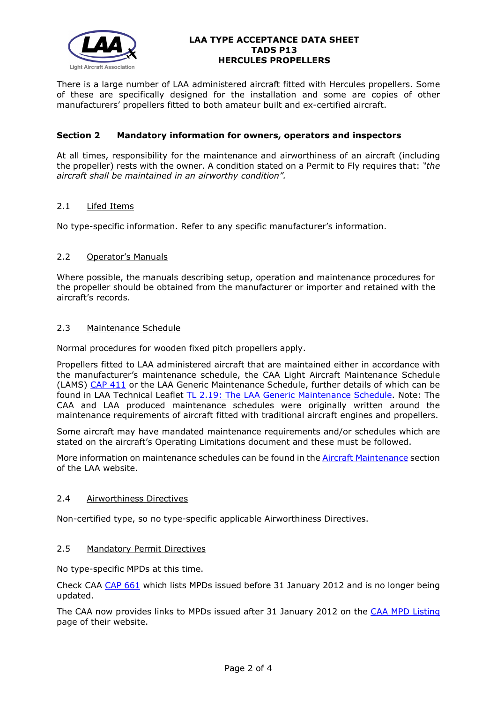

There is a large number of LAA administered aircraft fitted with Hercules propellers. Some of these are specifically designed for the installation and some are copies of other manufacturers' propellers fitted to both amateur built and ex-certified aircraft.

## **Section 2 Mandatory information for owners, operators and inspectors**

At all times, responsibility for the maintenance and airworthiness of an aircraft (including the propeller) rests with the owner. A condition stated on a Permit to Fly requires that: *"the aircraft shall be maintained in an airworthy condition".* 

## 2.1 Lifed Items

No type-specific information. Refer to any specific manufacturer's information.

## 2.2 Operator's Manuals

Where possible, the manuals describing setup, operation and maintenance procedures for the propeller should be obtained from the manufacturer or importer and retained with the aircraft's records.

## 2.3 Maintenance Schedule

Normal procedures for wooden fixed pitch propellers apply.

Propellers fitted to LAA administered aircraft that are maintained either in accordance with the manufacturer's maintenance schedule, the CAA Light Aircraft Maintenance Schedule (LAMS) [CAP 411](http://www.caa.co.uk/CAP411) or the LAA Generic Maintenance Schedule, further details of which can be found in LAA Technical Leaflet [TL 2.19: The LAA Generic Maintenance Schedule.](http://www.lightaircraftassociation.co.uk/engineering/TechnicalLeaflets/Operating%20An%20Aircraft/TL%202.19%20The%20LAA%20Generic%20Maintenance%20Schedule.pdf) Note: The CAA and LAA produced maintenance schedules were originally written around the maintenance requirements of aircraft fitted with traditional aircraft engines and propellers.

Some aircraft may have mandated maintenance requirements and/or schedules which are stated on the aircraft's Operating Limitations document and these must be followed.

More information on maintenance schedules can be found in the **Aircraft Maintenance** section of the LAA website.

## 2.4 Airworthiness Directives

Non-certified type, so no type-specific applicable Airworthiness Directives.

## 2.5 Mandatory Permit Directives

No type-specific MPDs at this time.

Check CAA [CAP 661](http://www.caa.co.uk/cap661) which lists MPDs issued before 31 January 2012 and is no longer being updated.

The CAA now provides links to MPDs issued after 31 January 2012 on the [CAA MPD Listing](http://publicapps.caa.co.uk/modalapplication.aspx?appid=11&mode=list&type=sercat&id=55) page of their website.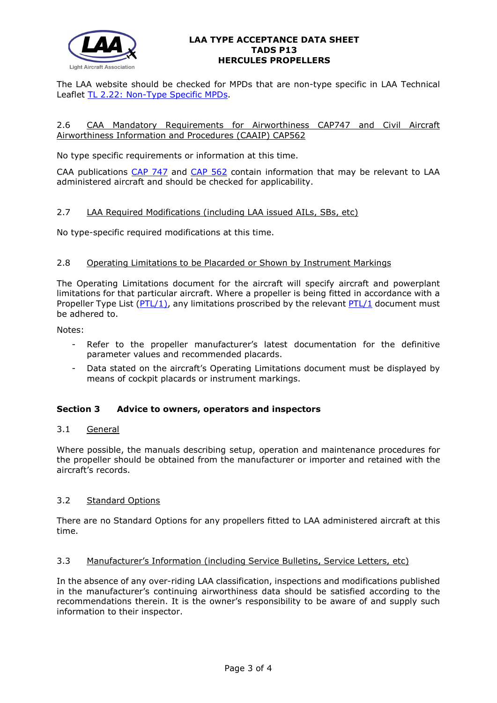

The LAA website should be checked for MPDs that are non-type specific in LAA Technical Leaflet [TL 2.22: Non-Type Specific MPDs.](http://www.lightaircraftassociation.co.uk/engineering/TechnicalLeaflets/Operating%20An%20Aircraft/TL%202.22%20non-type%20specific%20MPDs.pdf)

## 2.6 CAA Mandatory Requirements for Airworthiness CAP747 and Civil Aircraft Airworthiness Information and Procedures (CAAIP) CAP562

No type specific requirements or information at this time.

CAA publications [CAP 747](http://www.caa.co.uk/CAP747) and [CAP 562](http://www.caa.co.uk/CAP562) contain information that may be relevant to LAA administered aircraft and should be checked for applicability.

## 2.7 LAA Required Modifications (including LAA issued AILs, SBs, etc)

No type-specific required modifications at this time.

## 2.8 Operating Limitations to be Placarded or Shown by Instrument Markings

The Operating Limitations document for the aircraft will specify aircraft and powerplant limitations for that particular aircraft. Where a propeller is being fitted in accordance with a Propeller Type List  $(PTL/1)$ , any limitations proscribed by the relevant  $PTL/1$  document must be adhered to.

Notes:

- Refer to the propeller manufacturer's latest documentation for the definitive parameter values and recommended placards.
- Data stated on the aircraft's Operating Limitations document must be displayed by means of cockpit placards or instrument markings.

## **Section 3 Advice to owners, operators and inspectors**

## 3.1 General

Where possible, the manuals describing setup, operation and maintenance procedures for the propeller should be obtained from the manufacturer or importer and retained with the aircraft's records.

## 3.2 Standard Options

There are no Standard Options for any propellers fitted to LAA administered aircraft at this time.

## 3.3 Manufacturer's Information (including Service Bulletins, Service Letters, etc)

In the absence of any over-riding LAA classification, inspections and modifications published in the manufacturer's continuing airworthiness data should be satisfied according to the recommendations therein. It is the owner's responsibility to be aware of and supply such information to their inspector.